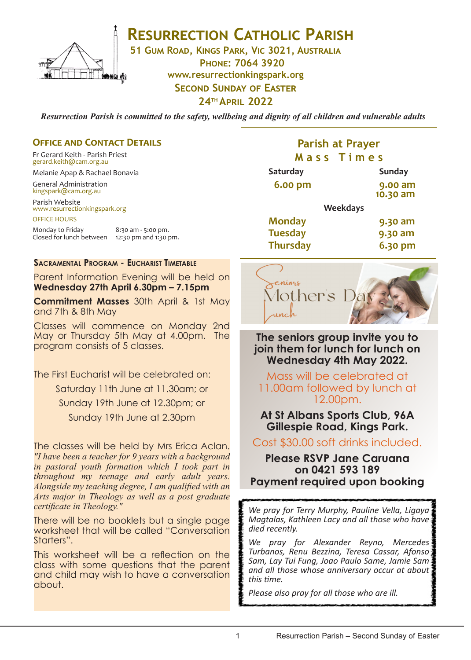

# **RESURRECTION CATHOLIC PARISH**

**51 Gum Road, Kings Park, Vic 3021, Australia**

**Phone: 7064 3920 www.resurrectionkingspark.org SECOND SUNDAY OF EASTER** 

**24th April 2022**

*Resurrection Parish is committed to the safety, wellbeing and dignity of all children and vulnerable adults*

#### **OFFICE AND CONTACT DETAILS**

Fr Gerard Keith - Parish Priest gerard.keith@cam.org.au

Melanie Apap & Rachael Bonavia

General Administration kingspark@cam.org.au

Parish Website www.resurrectionkingspark.org

OFFICE HOURS

Monday to Friday 8:30 am - 5:00 pm.<br>Closed for lunch between 12:30 pm and 1:30 pm. Closed for lunch between

**Sacramental Program - Eucharist Timetable**

Parent Information Evening will be held on **Wednesday 27th April 6.30pm – 7.15pm**

**Commitment Masses** 30th April & 1st May and 7th & 8th May

Classes will commence on Monday 2nd May or Thursday 5th May at 4.00pm. The program consists of 5 classes.

The First Eucharist will be celebrated on: Saturday 11th June at 11.30am; or Sunday 19th June at 12.30pm; or Sunday 19th June at 2.30pm

The classes will be held by Mrs Erica Aclan. *"I have been a teacher for 9 years with a background in pastoral youth formation which I took part in throughout my teenage and early adult years. Alongside my teaching degree, I am qualified with an Arts major in Theology as well as a post graduate certificate in Theology."*

There will be no booklets but a single page worksheet that will be called "Conversation Starters".

This worksheet will be a reflection on the class with some questions that the parent and child may wish to have a conversation about.

## **Parish at Prayer M a s s T i m e s**

| <b>Saturday</b> |                 | <b>Sunday</b>       |
|-----------------|-----------------|---------------------|
| <b>6.00 pm</b>  |                 | 9.00 am<br>10.30 am |
|                 | <b>Weekdays</b> |                     |
| <b>Monday</b>   |                 | 9.30 am             |
| <b>Tuesday</b>  |                 | 9.30 am             |
| <b>Thursday</b> |                 | 6.30 pm             |



**The seniors group invite you to join them for lunch for lunch on Wednesday 4th May 2022.** 

Mass will be celebrated at 11.00am followed by lunch at 12.00pm.

**At St Albans Sports Club, 96A Gillespie Road, Kings Park.**

Cost \$30.00 soft drinks included.

### **Please RSVP Jane Caruana on 0421 593 189 Payment required upon booking**

*We pray for Terry Murphy, Pauline Vella, Ligaya Magtalas, Kathleen Lacy and all those who have died recently.* 

*We pray for Alexander Reyno, Mercedes Turbanos, Renu Bezzina, Teresa Cassar, Afonso Sam, Lay Tui Fung, Joao Paulo Same, Jamie Sam and all those whose anniversary occur at about this time.*

*Please also pray for all those who are ill.*